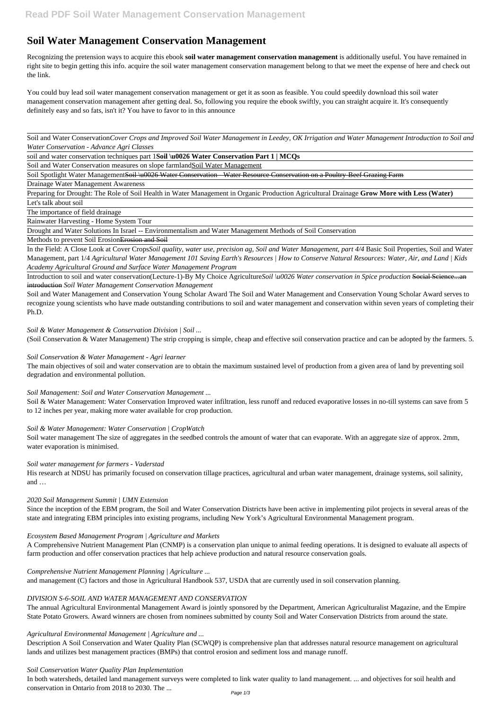# **Soil Water Management Conservation Management**

Recognizing the pretension ways to acquire this ebook **soil water management conservation management** is additionally useful. You have remained in right site to begin getting this info. acquire the soil water management conservation management belong to that we meet the expense of here and check out the link.

You could buy lead soil water management conservation management or get it as soon as feasible. You could speedily download this soil water management conservation management after getting deal. So, following you require the ebook swiftly, you can straight acquire it. It's consequently definitely easy and so fats, isn't it? You have to favor to in this announce

Soil and Water Conservation*Cover Crops and Improved Soil Water Management in Leedey, OK Irrigation and Water Management Introduction to Soil and Water Conservation - Advance Agri Classes*

soil and water conservation techniques part 1**Soil \u0026 Water Conservation Part 1 | MCQs**

Soil and Water Conservation measures on slope farmlandSoil Water Management

Soil Spotlight Water ManagementSoil \u0026 Water Conservation - Water Resource Conservation on a Poultry-Beef Grazing Farm

Drainage Water Management Awareness

Preparing for Drought: The Role of Soil Health in Water Management in Organic Production Agricultural Drainage **Grow More with Less (Water)**

Let's talk about soil

The importance of field drainage

Rainwater Harvesting - Home System Tour

Drought and Water Solutions In Israel -- Environmentalism and Water Management Methods of Soil Conservation

Methods to prevent Soil Erosion Erosion and Soil

Soil & Water Management: Water Conservation Improved water infiltration, less runoff and reduced evaporative losses in no-till systems can save from 5 to 12 inches per year, making more water available for crop production.

In the Field: A Close Look at Cover Crops*Soil quality, water use, precision ag, Soil and Water Management, part 4/4* Basic Soil Properties, Soil and Water Management, part 1/4 *Agricultural Water Management 101 Saving Earth's Resources | How to Conserve Natural Resources: Water, Air, and Land | Kids Academy Agricultural Ground and Surface Water Management Program*

Introduction to soil and water conservation(Lecture-1)-By My Choice Agriculture*Soil \u0026 Water conservation in Spice production* Social Science...an introduction *Soil Water Management Conservation Management*

Soil and Water Management and Conservation Young Scholar Award The Soil and Water Management and Conservation Young Scholar Award serves to recognize young scientists who have made outstanding contributions to soil and water management and conservation within seven years of completing their Ph.D.

*Soil & Water Management & Conservation Division | Soil ...*

(Soil Conservation & Water Management) The strip cropping is simple, cheap and effective soil conservation practice and can be adopted by the farmers. 5.

#### *Soil Conservation & Water Management - Agri learner*

The main objectives of soil and water conservation are to obtain the maximum sustained level of production from a given area of land by preventing soil degradation and environmental pollution.

## *Soil Management: Soil and Water Conservation Management ...*

#### *Soil & Water Management: Water Conservation | CropWatch*

Soil water management The size of aggregates in the seedbed controls the amount of water that can evaporate. With an aggregate size of approx. 2mm, water evaporation is minimised.

#### *Soil water management for farmers - Vaderstad*

His research at NDSU has primarily focused on conservation tillage practices, agricultural and urban water management, drainage systems, soil salinity, and …

#### *2020 Soil Management Summit | UMN Extension*

Since the inception of the EBM program, the Soil and Water Conservation Districts have been active in implementing pilot projects in several areas of the state and integrating EBM principles into existing programs, including New York's Agricultural Environmental Management program.

## *Ecosystem Based Management Program | Agriculture and Markets*

A Comprehensive Nutrient Management Plan (CNMP) is a conservation plan unique to animal feeding operations. It is designed to evaluate all aspects of farm production and offer conservation practices that help achieve production and natural resource conservation goals.

*Comprehensive Nutrient Management Planning | Agriculture ...*

and management (C) factors and those in Agricultural Handbook 537, USDA that are currently used in soil conservation planning.

#### *DIVISION S-6-SOIL AND WATER MANAGEMENT AND CONSERVATION*

The annual Agricultural Environmental Management Award is jointly sponsored by the Department, American Agriculturalist Magazine, and the Empire State Potato Growers. Award winners are chosen from nominees submitted by county Soil and Water Conservation Districts from around the state.

#### *Agricultural Environmental Management | Agriculture and ...*

Description A Soil Conservation and Water Quality Plan (SCWQP) is comprehensive plan that addresses natural resource management on agricultural lands and utilizes best management practices (BMPs) that control erosion and sediment loss and manage runoff.

#### *Soil Conservation Water Quality Plan Implementation*

In both watersheds, detailed land management surveys were completed to link water quality to land management. ... and objectives for soil health and conservation in Ontario from 2018 to 2030. The ...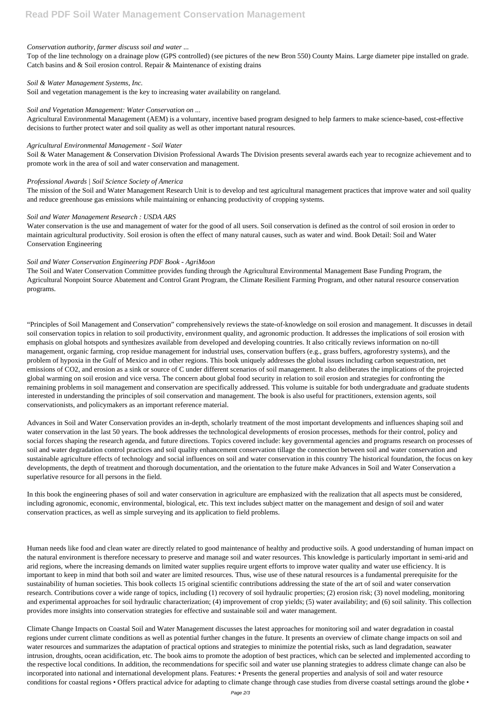## *Conservation authority, farmer discuss soil and water ...*

Top of the line technology on a drainage plow (GPS controlled) (see pictures of the new Bron 550) County Mains. Large diameter pipe installed on grade. Catch basins and & Soil erosion control. Repair & Maintenance of existing drains

## *Soil & Water Management Systems, Inc.*

Soil and vegetation management is the key to increasing water availability on rangeland.

## *Soil and Vegetation Management: Water Conservation on ...*

Agricultural Environmental Management (AEM) is a voluntary, incentive based program designed to help farmers to make science-based, cost-effective decisions to further protect water and soil quality as well as other important natural resources.

## *Agricultural Environmental Management - Soil Water*

Soil & Water Management & Conservation Division Professional Awards The Division presents several awards each year to recognize achievement and to promote work in the area of soil and water conservation and management.

### *Professional Awards | Soil Science Society of America*

The mission of the Soil and Water Management Research Unit is to develop and test agricultural management practices that improve water and soil quality and reduce greenhouse gas emissions while maintaining or enhancing productivity of cropping systems.

## *Soil and Water Management Research : USDA ARS*

Water conservation is the use and management of water for the good of all users. Soil conservation is defined as the control of soil erosion in order to maintain agricultural productivity. Soil erosion is often the effect of many natural causes, such as water and wind. Book Detail: Soil and Water Conservation Engineering

## *Soil and Water Conservation Engineering PDF Book - AgriMoon*

The Soil and Water Conservation Committee provides funding through the Agricultural Environmental Management Base Funding Program, the Agricultural Nonpoint Source Abatement and Control Grant Program, the Climate Resilient Farming Program, and other natural resource conservation programs.

"Principles of Soil Management and Conservation" comprehensively reviews the state-of-knowledge on soil erosion and management. It discusses in detail soil conservation topics in relation to soil productivity, environment quality, and agronomic production. It addresses the implications of soil erosion with emphasis on global hotspots and synthesizes available from developed and developing countries. It also critically reviews information on no-till management, organic farming, crop residue management for industrial uses, conservation buffers (e.g., grass buffers, agroforestry systems), and the problem of hypoxia in the Gulf of Mexico and in other regions. This book uniquely addresses the global issues including carbon sequestration, net emissions of CO2, and erosion as a sink or source of C under different scenarios of soil management. It also deliberates the implications of the projected global warming on soil erosion and vice versa. The concern about global food security in relation to soil erosion and strategies for confronting the remaining problems in soil management and conservation are specifically addressed. This volume is suitable for both undergraduate and graduate students interested in understanding the principles of soil conservation and management. The book is also useful for practitioners, extension agents, soil conservationists, and policymakers as an important reference material.

Advances in Soil and Water Conservation provides an in-depth, scholarly treatment of the most important developments and influences shaping soil and water conservation in the last 50 years. The book addresses the technological developments of erosion processes, methods for their control, policy and social forces shaping the research agenda, and future directions. Topics covered include: key governmental agencies and programs research on processes of soil and water degradation control practices and soil quality enhancement conservation tillage the connection between soil and water conservation and sustainable agriculture effects of technology and social influences on soil and water conservation in this country The historical foundation, the focus on key developments, the depth of treatment and thorough documentation, and the orientation to the future make Advances in Soil and Water Conservation a superlative resource for all persons in the field.

In this book the engineering phases of soil and water conservation in agriculture are emphasized with the realization that all aspects must be considered, including agronomic, economic, environmental, biological, etc. This text includes subject matter on the management and design of soil and water conservation practices, as well as simple surveying and its application to field problems.

Human needs like food and clean water are directly related to good maintenance of healthy and productive soils. A good understanding of human impact on the natural environment is therefore necessary to preserve and manage soil and water resources. This knowledge is particularly important in semi-arid and arid regions, where the increasing demands on limited water supplies require urgent efforts to improve water quality and water use efficiency. It is important to keep in mind that both soil and water are limited resources. Thus, wise use of these natural resources is a fundamental prerequisite for the sustainability of human societies. This book collects 15 original scientific contributions addressing the state of the art of soil and water conservation research. Contributions cover a wide range of topics, including (1) recovery of soil hydraulic properties; (2) erosion risk; (3) novel modeling, monitoring and experimental approaches for soil hydraulic characterization; (4) improvement of crop yields; (5) water availability; and (6) soil salinity. This collection provides more insights into conservation strategies for effective and sustainable soil and water management.

Climate Change Impacts on Coastal Soil and Water Management discusses the latest approaches for monitoring soil and water degradation in coastal regions under current climate conditions as well as potential further changes in the future. It presents an overview of climate change impacts on soil and water resources and summarizes the adaptation of practical options and strategies to minimize the potential risks, such as land degradation, seawater intrusion, droughts, ocean acidification, etc. The book aims to promote the adoption of best practices, which can be selected and implemented according to the respective local conditions. In addition, the recommendations for specific soil and water use planning strategies to address climate change can also be incorporated into national and international development plans. Features: • Presents the general properties and analysis of soil and water resource conditions for coastal regions • Offers practical advice for adapting to climate change through case studies from diverse coastal settings around the globe •